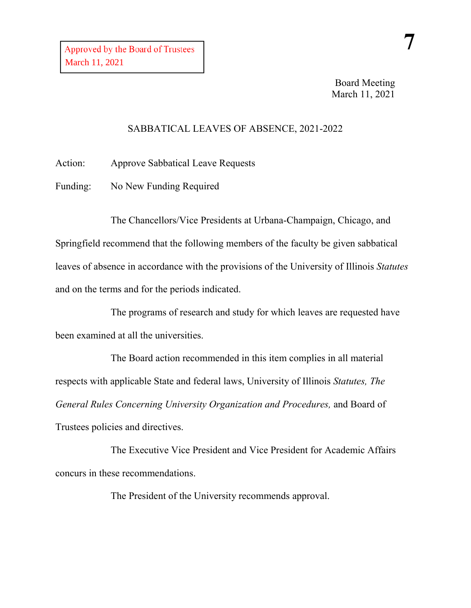## SABBATICAL LEAVES OF ABSENCE, 2021-2022

Action: Approve Sabbatical Leave Requests

Funding: No New Funding Required

The Chancellors/Vice Presidents at Urbana-Champaign, Chicago, and Springfield recommend that the following members of the faculty be given sabbatical leaves of absence in accordance with the provisions of the University of Illinois *Statutes* and on the terms and for the periods indicated.

The programs of research and study for which leaves are requested have been examined at all the universities.

The Board action recommended in this item complies in all material respects with applicable State and federal laws, University of Illinois *Statutes, The General Rules Concerning University Organization and Procedures,* and Board of Trustees policies and directives.

The Executive Vice President and Vice President for Academic Affairs concurs in these recommendations.

The President of the University recommends approval.